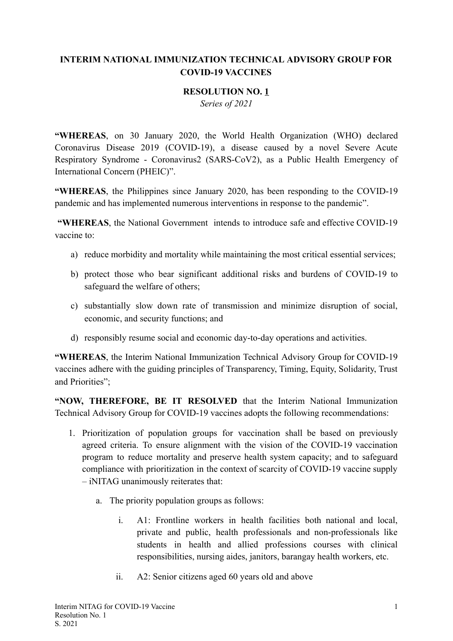## **INTERIM NATIONAL IMMUNIZATION TECHNICAL ADVISORY GROUP FOR COVID-19 VACCINES**

## **RESOLUTION NO. 1**

*Series of 2021* 

"WHEREAS, on 30 January 2020, the World Health Organization (WHO) declared Coronavirus Disease 2019 (COVID-19), a disease caused by a novel Severe Acute Respiratory Syndrome - Coronavirus2 (SARS-CoV2), as a Public Health Emergency of International Concern (PHEIC)".

**"WHEREAS** , the Philippines since January 2020, has been responding to the COVID-19 pandemic and has implemented numerous interventions in response to the pandemic".

**"WHEREAS** , the National Government intends to introduce safe and effective COVID-19 vaccine to:

- a) reduce morbidity and mortality while maintaining the most critical essential services;
- b) protect those who bear significant additional risks and burdens of COVID-19 to safeguard the welfare of others;
- c) substantially slow down rate of transmission and minimize disruption of social, economic, and security functions; and
- d) responsibly resume social and economic day-to-day operations and activities.

**"WHEREAS**, the Interim National Immunization Technical Advisory Group for COVID-19 vaccines adhere with the guiding principles of Transparency, Timing, Equity, Solidarity, Trust and Priorities";

**"NOW, THEREFORE, BE IT RESOLVED** that the Interim National Immunization Technical Advisory Group for COVID-19 vaccines adopts the following recommendations:

- 1. Prioritization of population groups for vaccination shall be based on previously agreed criteria. To ensure alignment with the vision of the COVID-19 vaccination program to reduce mortality and preserve health system capacity; and to safeguard compliance with prioritization in the context of scarcity of COVID-19 vaccine supply – iNITAG unanimously reiterates that:
	- a. The priority population groups as follows:
		- i. A1: Frontline workers in health facilities both national and local, private and public, health professionals and non-professionals like students in health and allied professions courses with clinical responsibilities, nursing aides, janitors, barangay health workers, etc.
		- ii. A2: Senior citizens aged 60 years old and above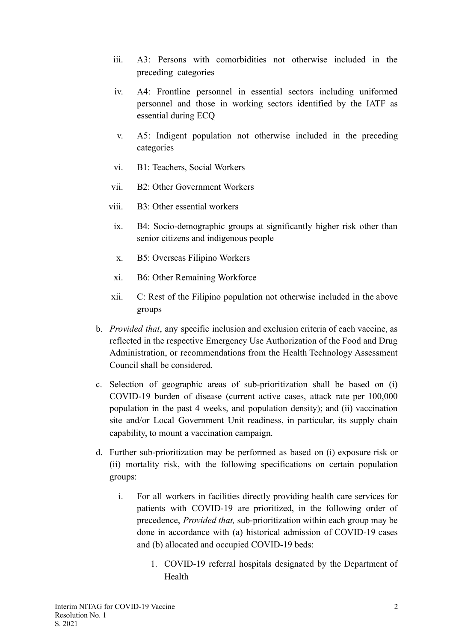- iii. A3: Persons with comorbidities not otherwise included in the preceding categories
- iv. A4: Frontline personnel in essential sectors including uniformed personnel and those in working sectors identified by the IATF as essential during ECQ
- v. A5: Indigent population not otherwise included in the preceding categories
- vi. B1: Teachers, Social Workers
- vii. B2: Other Government Workers
- viii. B3: Other essential workers
	- ix. B4: Socio-demographic groups at significantly higher risk other than senior citizens and indigenous people
	- x. B5: Overseas Filipino Workers
	- xi. B6: Other Remaining Workforce
- xii. C: Rest of the Filipino population not otherwise included in the above groups
- b. *Provided that*, any specific inclusion and exclusion criteria of each vaccine, as reflected in the respective Emergency Use Authorization of the Food and Drug Administration, or recommendations from the Health Technology Assessment Council shall be considered.
- c. Selection of geographic areas of sub-prioritization shall be based on (i) COVID-19 burden of disease (current active cases, attack rate per 100,000 population in the past 4 weeks, and population density); and (ii) vaccination site and/or Local Government Unit readiness, in particular, its supply chain capability, to mount a vaccination campaign.
- d. Further sub-prioritization may be performed as based on (i) exposure risk or (ii) mortality risk, with the following specifications on certain population groups:
	- i. For all workers in facilities directly providing health care services for patients with COVID-19 are prioritized, in the following order of precedence, *Provided that,* sub-prioritization within each group may be done in accordance with (a) historical admission of COVID-19 cases and (b) allocated and occupied COVID-19 beds:
		- 1. COVID-19 referral hospitals designated by the Department of Health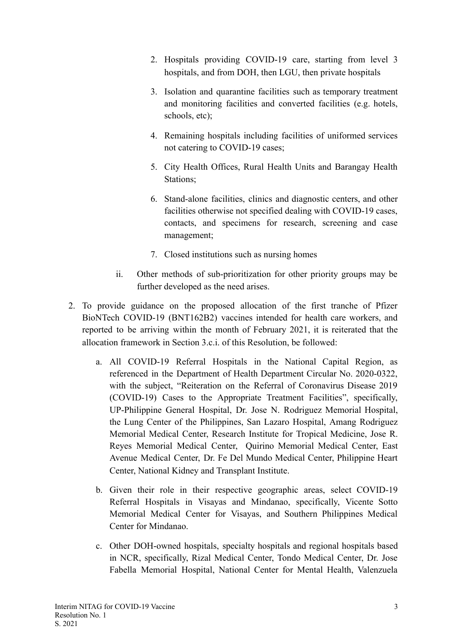- 2. Hospitals providing COVID-19 care, starting from level 3 hospitals, and from DOH, then LGU, then private hospitals
- 3. Isolation and quarantine facilities such as temporary treatment and monitoring facilities and converted facilities (e.g. hotels, schools, etc);
- 4. Remaining hospitals including facilities of uniformed services not catering to COVID-19 cases;
- 5. City Health Offices, Rural Health Units and Barangay Health Stations;
- 6. Stand-alone facilities, clinics and diagnostic centers, and other facilities otherwise not specified dealing with COVID-19 cases, contacts, and specimens for research, screening and case management;
- 7. Closed institutions such as nursing homes
- ii. Other methods of sub-prioritization for other priority groups may be further developed as the need arises.
- 2. To provide guidance on the proposed allocation of the first tranche of Pfizer BioNTech COVID-19 (BNT162B2) vaccines intended for health care workers, and reported to be arriving within the month of February 2021, it is reiterated that the allocation framework in Section 3.c.i. of this Resolution, be followed:
	- a. All COVID-19 Referral Hospitals in the National Capital Region, as referenced in the Department of Health Department Circular No. 2020-0322, with the subject, "Reiteration on the Referral of Coronavirus Disease 2019 (COVID-19) Cases to the Appropriate Treatment Facilities", specifically, UP-Philippine General Hospital, Dr. Jose N. Rodriguez Memorial Hospital, the Lung Center of the Philippines, San Lazaro Hospital, Amang Rodriguez Memorial Medical Center, Research Institute for Tropical Medicine, Jose R. Reyes Memorial Medical Center, Quirino Memorial Medical Center, East Avenue Medical Center, Dr. Fe Del Mundo Medical Center, Philippine Heart Center, National Kidney and Transplant Institute.
	- b. Given their role in their respective geographic areas, select COVID-19 Referral Hospitals in Visayas and Mindanao, specifically, Vicente Sotto Memorial Medical Center for Visayas, and Southern Philippines Medical Center for Mindanao.
	- c. Other DOH-owned hospitals, specialty hospitals and regional hospitals based in NCR, specifically, Rizal Medical Center, Tondo Medical Center, Dr. Jose Fabella Memorial Hospital, National Center for Mental Health, Valenzuela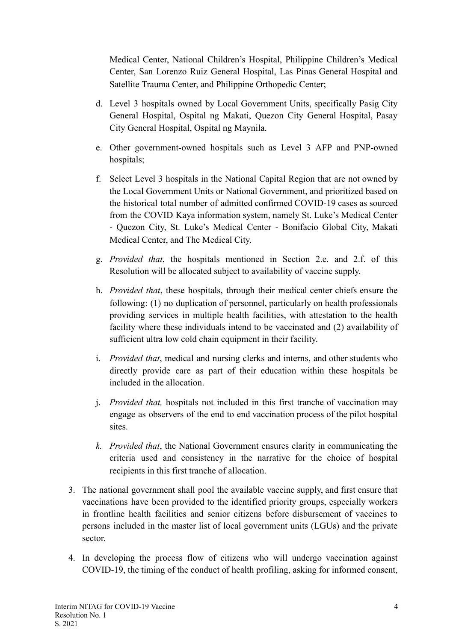Medical Center, National Children's Hospital, Philippine Children's Medical Center, San Lorenzo Ruiz General Hospital, Las Pinas General Hospital and Satellite Trauma Center, and Philippine Orthopedic Center;

- d. Level 3 hospitals owned by Local Government Units, specifically Pasig City General Hospital, Ospital ng Makati, Quezon City General Hospital, Pasay City General Hospital, Ospital ng Maynila.
- e. Other government-owned hospitals such as Level 3 AFP and PNP-owned hospitals;
- f. Select Level 3 hospitals in the National Capital Region that are not owned by the Local Government Units or National Government, and prioritized based on the historical total number of admitted confirmed COVID-19 cases as sourced from the COVID Kaya information system, namely St. Luke's Medical Center - Quezon City, St. Luke's Medical Center - Bonifacio Global City, Makati Medical Center, and The Medical City.
- g. *Provided that*, the hospitals mentioned in Section 2.e. and 2.f. of this Resolution will be allocated subject to availability of vaccine supply.
- h. *Provided that*, these hospitals, through their medical center chiefs ensure the following: (1) no duplication of personnel, particularly on health professionals providing services in multiple health facilities, with attestation to the health facility where these individuals intend to be vaccinated and (2) availability of sufficient ultra low cold chain equipment in their facility.
- i. *Provided that*, medical and nursing clerks and interns, and other students who directly provide care as part of their education within these hospitals be included in the allocation.
- j. *Provided that,* hospitals not included in this first tranche of vaccination may engage as observers of the end to end vaccination process of the pilot hospital sites.
- *k. Provided that* , the National Government ensures clarity in communicating the criteria used and consistency in the narrative for the choice of hospital recipients in this first tranche of allocation.
- 3. The national government shall pool the available vaccine supply, and first ensure that vaccinations have been provided to the identified priority groups, especially workers in frontline health facilities and senior citizens before disbursement of vaccines to persons included in the master list of local government units (LGUs) and the private sector.
- 4. In developing the process flow of citizens who will undergo vaccination against COVID-19, the timing of the conduct of health profiling, asking for informed consent,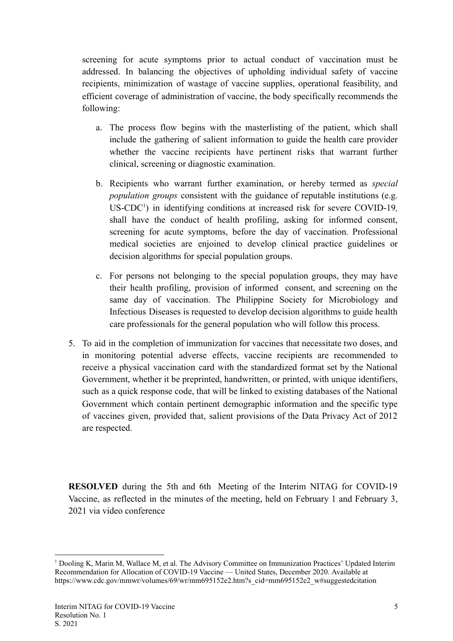screening for acute symptoms prior to actual conduct of vaccination must be addressed. In balancing the objectives of upholding individual safety of vaccine recipients, minimization of wastage of vaccine supplies, operational feasibility, and efficient coverage of administration of vaccine, the body specifically recommends the following:

- a. The process flow begins with the masterlisting of the patient, which shall include the gathering of salient information to guide the health care provider whether the vaccine recipients have pertinent risks that warrant further clinical, screening or diagnostic examination.
- b. Recipients who warrant further examination, or hereby termed as *special population groups* consistent with the guidance of reputable institutions (e.g. US-CDC<sup>1</sup>) in identifying conditions at increased risk for severe COVID-19, shall have the conduct of health profiling, asking for informed consent, screening for acute symptoms, before the day of vaccination. Professional medical societies are enjoined to develop clinical practice guidelines or decision algorithms for special population groups.
- c. For persons not belonging to the special population groups, they may have their health profiling, provision of informed consent, and screening on the same day of vaccination. The Philippine Society for Microbiology and Infectious Diseases is requested to develop decision algorithms to guide health care professionals for the general population who will follow this process.
- 5. To aid in the completion of immunization for vaccines that necessitate two doses, and in monitoring potential adverse effects, vaccine recipients are recommended to receive a physical vaccination card with the standardized format set by the National Government, whether it be preprinted, handwritten, or printed, with unique identifiers, such as a quick response code, that will be linked to existing databases of the National Government which contain pertinent demographic information and the specific type of vaccines given, provided that, salient provisions of the Data Privacy Act of 2012 are respected.

**RESOLVED** during the 5th and 6th Meeting of the Interim NITAG for COVID-19 Vaccine, as reflected in the minutes of the meeting, held on February 1 and February 3, 2021 via video conference

<sup>1</sup> Dooling K, Marin M, Wallace M, et al. The Advisory Committee on Immunization Practices' Updated Interim Recommendation for Allocation of COVID-19 Vaccine — United States, December 2020. Available at https://www.cdc.gov/mmwr/volumes/69/wr/mm695152e2.htm?s\_cid=mm695152e2\_w#suggestedcitation